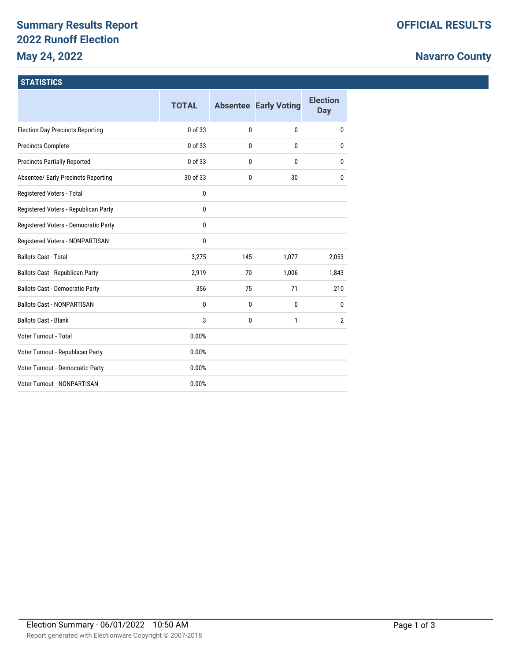# **Summary Results Report 2022 Runoff Election May 24, 2022**

# **Navarro County**

### **STATISTICS**

|                                         | <b>TOTAL</b> |     | <b>Absentee Early Voting</b> | <b>Election</b><br><b>Day</b> |
|-----------------------------------------|--------------|-----|------------------------------|-------------------------------|
| <b>Election Day Precincts Reporting</b> | 0 of 33      | 0   | $\mathbf{0}$                 | 0                             |
| <b>Precincts Complete</b>               | 0 of 33      | 0   | $\mathbf{0}$                 | 0                             |
| <b>Precincts Partially Reported</b>     | 0 of 33      | 0   | $\mathbf{0}$                 | 0                             |
| Absentee/ Early Precincts Reporting     | 30 of 33     | 0   | 30                           | 0                             |
| Registered Voters - Total               | 0            |     |                              |                               |
| Registered Voters - Republican Party    | 0            |     |                              |                               |
| Registered Voters - Democratic Party    | 0            |     |                              |                               |
| Registered Voters - NONPARTISAN         | 0            |     |                              |                               |
| <b>Ballots Cast - Total</b>             | 3,275        | 145 | 1,077                        | 2,053                         |
| Ballots Cast - Republican Party         | 2,919        | 70  | 1,006                        | 1,843                         |
| <b>Ballots Cast - Democratic Party</b>  | 356          | 75  | 71                           | 210                           |
| <b>Ballots Cast - NONPARTISAN</b>       | 0            | 0   | $\mathbf{0}$                 | 0                             |
| <b>Ballots Cast - Blank</b>             | 3            | 0   | 1                            | $\overline{2}$                |
| Voter Turnout - Total                   | 0.00%        |     |                              |                               |
| Voter Turnout - Republican Party        | 0.00%        |     |                              |                               |
| Voter Turnout - Democratic Party        | 0.00%        |     |                              |                               |
| Voter Turnout - NONPARTISAN             | 0.00%        |     |                              |                               |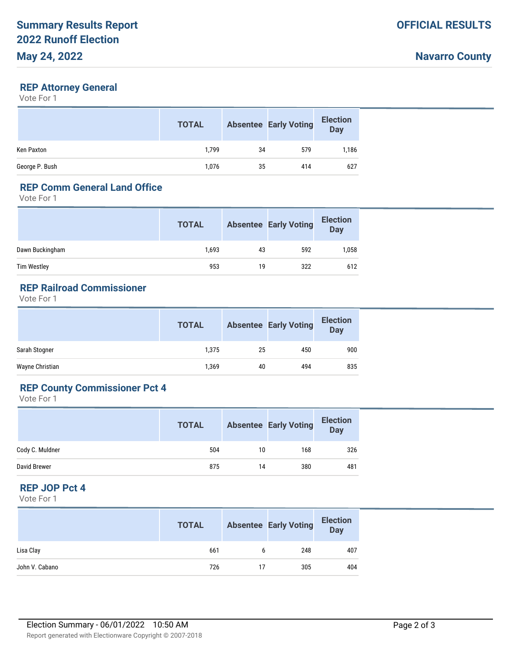#### **REP Attorney General**

Vote For 1

|                | <b>TOTAL</b> |    | <b>Absentee Early Voting</b> | <b>Election</b><br><b>Day</b> |
|----------------|--------------|----|------------------------------|-------------------------------|
| Ken Paxton     | 1.799        | 34 | 579                          | 1,186                         |
| George P. Bush | 1,076        | 35 | 414                          | 627                           |

## **REP Comm General Land Office**

Vote For 1

|                 | <b>TOTAL</b> |    | <b>Absentee Early Voting</b> | <b>Election</b><br><b>Day</b> |
|-----------------|--------------|----|------------------------------|-------------------------------|
| Dawn Buckingham | 1,693        | 43 | 592                          | 1,058                         |
| Tim Westley     | 953          | 19 | 322                          | 612                           |

# **REP Railroad Commissioner**

Vote For 1

|                 | <b>TOTAL</b> |    | <b>Absentee Early Voting</b> | <b>Election</b><br><b>Day</b> |
|-----------------|--------------|----|------------------------------|-------------------------------|
| Sarah Stogner   | 1,375        | 25 | 450                          | 900                           |
| Wayne Christian | 1,369        | 40 | 494                          | 835                           |

# **REP County Commissioner Pct 4**

Vote For 1

|                 | <b>TOTAL</b> |    | <b>Absentee Early Voting</b> | <b>Election</b><br><b>Day</b> |
|-----------------|--------------|----|------------------------------|-------------------------------|
| Cody C. Muldner | 504          | 10 | 168                          | 326                           |
| David Brewer    | 875          | 14 | 380                          | 481                           |

## **REP JOP Pct 4**

Vote For 1

|                | <b>TOTAL</b> |    | <b>Absentee Early Voting</b> | <b>Election</b><br><b>Day</b> |
|----------------|--------------|----|------------------------------|-------------------------------|
| Lisa Clay      | 661          | 6  | 248                          | 407                           |
| John V. Cabano | 726          | 17 | 305                          | 404                           |